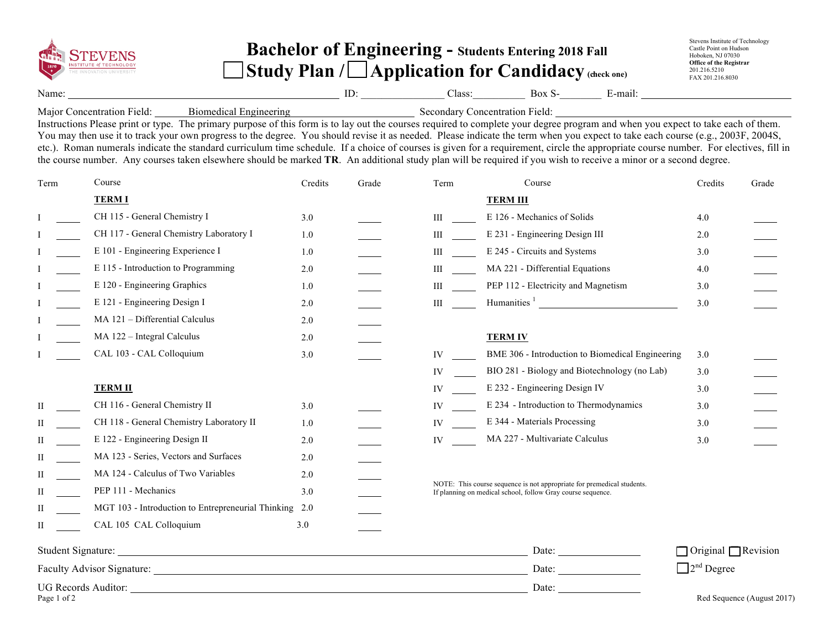|                                                                                                                                                                                                                                                                                                                                   | <b>INSTITUTE of TECHNOLOGY</b><br>THE INNOVATION UNIVERSITY                                                                                                                                                                                                                                                                                                                                                                                                                                                                                                                                                                                                                                                                                                                       |         | <b>Bachelor of Engineering - Students Entering 2018 Fall</b><br>$\left \mathbf{Study} \right $ Plan / $\Box$ Application for Candidacy (check one) |                                                                                                                                                                                                                                     |                                                                                                                                       |                                        | Stevens Institute of Technology<br>Castle Point on Hudson<br>Hoboken, NJ 07030<br><b>Office of the Registrar</b><br>201.216.5210<br>FAX 201.216.8030 |                                 |                            |
|-----------------------------------------------------------------------------------------------------------------------------------------------------------------------------------------------------------------------------------------------------------------------------------------------------------------------------------|-----------------------------------------------------------------------------------------------------------------------------------------------------------------------------------------------------------------------------------------------------------------------------------------------------------------------------------------------------------------------------------------------------------------------------------------------------------------------------------------------------------------------------------------------------------------------------------------------------------------------------------------------------------------------------------------------------------------------------------------------------------------------------------|---------|----------------------------------------------------------------------------------------------------------------------------------------------------|-------------------------------------------------------------------------------------------------------------------------------------------------------------------------------------------------------------------------------------|---------------------------------------------------------------------------------------------------------------------------------------|----------------------------------------|------------------------------------------------------------------------------------------------------------------------------------------------------|---------------------------------|----------------------------|
| Name:                                                                                                                                                                                                                                                                                                                             | $ID:$ $ID:$ $Class:$ $Box S E-mail:$                                                                                                                                                                                                                                                                                                                                                                                                                                                                                                                                                                                                                                                                                                                                              |         |                                                                                                                                                    |                                                                                                                                                                                                                                     |                                                                                                                                       |                                        |                                                                                                                                                      |                                 |                            |
|                                                                                                                                                                                                                                                                                                                                   | Major Concentration Field: Biomedical Engineering<br>Instructions Please print or type. The primary purpose of this form is to lay out the courses required to complete your degree program and when you expect to take each of t<br>You may then use it to track your own progress to the degree. You should revise it as needed. Please indicate the term when you expect to take each course (e.g., 2003F, 2004S,<br>etc.). Roman numerals indicate the standard curriculum time schedule. If a choice of courses is given for a requirement, circle the appropriate course number. For electives, fill in<br>the course number. Any courses taken elsewhere should be marked TR. An additional study plan will be required if you wish to receive a minor or a second degree. |         |                                                                                                                                                    |                                                                                                                                                                                                                                     |                                                                                                                                       |                                        |                                                                                                                                                      |                                 |                            |
| Term                                                                                                                                                                                                                                                                                                                              | Course                                                                                                                                                                                                                                                                                                                                                                                                                                                                                                                                                                                                                                                                                                                                                                            | Credits | Grade                                                                                                                                              | Term                                                                                                                                                                                                                                |                                                                                                                                       | Course                                 |                                                                                                                                                      | Credits                         | Grade                      |
|                                                                                                                                                                                                                                                                                                                                   | <b>TERMI</b>                                                                                                                                                                                                                                                                                                                                                                                                                                                                                                                                                                                                                                                                                                                                                                      |         |                                                                                                                                                    |                                                                                                                                                                                                                                     | <b>TERM III</b>                                                                                                                       |                                        |                                                                                                                                                      |                                 |                            |
|                                                                                                                                                                                                                                                                                                                                   | CH 115 - General Chemistry I                                                                                                                                                                                                                                                                                                                                                                                                                                                                                                                                                                                                                                                                                                                                                      | 3.0     |                                                                                                                                                    |                                                                                                                                                                                                                                     |                                                                                                                                       | E 126 - Mechanics of Solids            |                                                                                                                                                      | 4.0                             |                            |
|                                                                                                                                                                                                                                                                                                                                   | CH 117 - General Chemistry Laboratory I                                                                                                                                                                                                                                                                                                                                                                                                                                                                                                                                                                                                                                                                                                                                           | 1.0     |                                                                                                                                                    |                                                                                                                                                                                                                                     |                                                                                                                                       | E 231 - Engineering Design III         |                                                                                                                                                      | 2.0                             |                            |
|                                                                                                                                                                                                                                                                                                                                   | E 101 - Engineering Experience I                                                                                                                                                                                                                                                                                                                                                                                                                                                                                                                                                                                                                                                                                                                                                  | 1.0     |                                                                                                                                                    | III                                                                                                                                                                                                                                 |                                                                                                                                       | E 245 - Circuits and Systems           |                                                                                                                                                      | 3.0                             |                            |
|                                                                                                                                                                                                                                                                                                                                   | E 115 - Introduction to Programming                                                                                                                                                                                                                                                                                                                                                                                                                                                                                                                                                                                                                                                                                                                                               | 2.0     |                                                                                                                                                    | <b>III</b> and the set of the set of the set of the set of the set of the set of the set of the set of the set of the set of the set of the set of the set of the set of the set of the set of the set of the set of the set of the |                                                                                                                                       | MA 221 - Differential Equations        |                                                                                                                                                      | 4.0                             |                            |
|                                                                                                                                                                                                                                                                                                                                   | E 120 - Engineering Graphics                                                                                                                                                                                                                                                                                                                                                                                                                                                                                                                                                                                                                                                                                                                                                      | 1.0     |                                                                                                                                                    | Шинст                                                                                                                                                                                                                               |                                                                                                                                       | PEP 112 - Electricity and Magnetism    |                                                                                                                                                      | 3.0                             |                            |
|                                                                                                                                                                                                                                                                                                                                   | E 121 - Engineering Design I                                                                                                                                                                                                                                                                                                                                                                                                                                                                                                                                                                                                                                                                                                                                                      | 2.0     |                                                                                                                                                    | $\mathbf{III}$                                                                                                                                                                                                                      |                                                                                                                                       |                                        | Humanities <sup>1</sup>                                                                                                                              | 3.0                             |                            |
|                                                                                                                                                                                                                                                                                                                                   | MA 121 - Differential Calculus                                                                                                                                                                                                                                                                                                                                                                                                                                                                                                                                                                                                                                                                                                                                                    | 2.0     |                                                                                                                                                    |                                                                                                                                                                                                                                     |                                                                                                                                       |                                        |                                                                                                                                                      |                                 |                            |
|                                                                                                                                                                                                                                                                                                                                   | MA 122 - Integral Calculus                                                                                                                                                                                                                                                                                                                                                                                                                                                                                                                                                                                                                                                                                                                                                        | 2.0     |                                                                                                                                                    |                                                                                                                                                                                                                                     | <b>TERM IV</b>                                                                                                                        |                                        |                                                                                                                                                      |                                 |                            |
|                                                                                                                                                                                                                                                                                                                                   | CAL 103 - CAL Colloquium                                                                                                                                                                                                                                                                                                                                                                                                                                                                                                                                                                                                                                                                                                                                                          | 3.0     |                                                                                                                                                    | IV                                                                                                                                                                                                                                  |                                                                                                                                       |                                        | BME 306 - Introduction to Biomedical Engineering                                                                                                     | 3.0                             |                            |
|                                                                                                                                                                                                                                                                                                                                   |                                                                                                                                                                                                                                                                                                                                                                                                                                                                                                                                                                                                                                                                                                                                                                                   |         |                                                                                                                                                    | IV                                                                                                                                                                                                                                  |                                                                                                                                       |                                        | BIO 281 - Biology and Biotechnology (no Lab)                                                                                                         | 3.0                             |                            |
|                                                                                                                                                                                                                                                                                                                                   | <b>TERM II</b>                                                                                                                                                                                                                                                                                                                                                                                                                                                                                                                                                                                                                                                                                                                                                                    |         |                                                                                                                                                    | IV and the set of the set of the set of the set of the set of the set of the set of the set of the set of the set of the set of the set of the set of the set of the set of the set of the set of the set of the set of the se      |                                                                                                                                       | E 232 - Engineering Design IV          |                                                                                                                                                      | 3.0                             |                            |
|                                                                                                                                                                                                                                                                                                                                   | CH 116 - General Chemistry II                                                                                                                                                                                                                                                                                                                                                                                                                                                                                                                                                                                                                                                                                                                                                     | 3.0     |                                                                                                                                                    | IV and the set of the set of the set of the set of the set of the set of the set of the set of the set of the set of the set of the set of the set of the set of the set of the set of the set of the set of the set of the se      |                                                                                                                                       | E 234 - Introduction to Thermodynamics |                                                                                                                                                      | 3.0                             |                            |
| П                                                                                                                                                                                                                                                                                                                                 | CH 118 - General Chemistry Laboratory II                                                                                                                                                                                                                                                                                                                                                                                                                                                                                                                                                                                                                                                                                                                                          | 1.0     |                                                                                                                                                    | IV                                                                                                                                                                                                                                  |                                                                                                                                       | E 344 - Materials Processing           |                                                                                                                                                      | 3.0                             |                            |
|                                                                                                                                                                                                                                                                                                                                   | E 122 - Engineering Design II                                                                                                                                                                                                                                                                                                                                                                                                                                                                                                                                                                                                                                                                                                                                                     | 2.0     |                                                                                                                                                    |                                                                                                                                                                                                                                     |                                                                                                                                       | MA 227 - Multivariate Calculus         |                                                                                                                                                      | 3.0                             |                            |
|                                                                                                                                                                                                                                                                                                                                   | MA 123 - Series, Vectors and Surfaces                                                                                                                                                                                                                                                                                                                                                                                                                                                                                                                                                                                                                                                                                                                                             | 2.0     |                                                                                                                                                    |                                                                                                                                                                                                                                     |                                                                                                                                       |                                        |                                                                                                                                                      |                                 |                            |
|                                                                                                                                                                                                                                                                                                                                   | MA 124 - Calculus of Two Variables                                                                                                                                                                                                                                                                                                                                                                                                                                                                                                                                                                                                                                                                                                                                                | 2.0     |                                                                                                                                                    |                                                                                                                                                                                                                                     |                                                                                                                                       |                                        |                                                                                                                                                      |                                 |                            |
| П                                                                                                                                                                                                                                                                                                                                 | PEP 111 - Mechanics                                                                                                                                                                                                                                                                                                                                                                                                                                                                                                                                                                                                                                                                                                                                                               | 3.0     |                                                                                                                                                    |                                                                                                                                                                                                                                     | NOTE: This course sequence is not appropriate for premedical students.<br>If planning on medical school, follow Gray course sequence. |                                        |                                                                                                                                                      |                                 |                            |
|                                                                                                                                                                                                                                                                                                                                   | MGT 103 - Introduction to Entrepreneurial Thinking 2.0                                                                                                                                                                                                                                                                                                                                                                                                                                                                                                                                                                                                                                                                                                                            |         |                                                                                                                                                    |                                                                                                                                                                                                                                     |                                                                                                                                       |                                        |                                                                                                                                                      |                                 |                            |
| $\mathbf{II}$ and $\mathbf{III}$ are $\mathbf{III}$ and $\mathbf{III}$ are $\mathbf{III}$ and $\mathbf{III}$ are $\mathbf{III}$ and $\mathbf{III}$ are $\mathbf{III}$ and $\mathbf{III}$ are $\mathbf{III}$ and $\mathbf{III}$ and $\mathbf{III}$ are $\mathbf{III}$ and $\mathbf{III}$ are $\mathbf{III}$ and $\mathbf{III}$ are | CAL 105 CAL Colloquium                                                                                                                                                                                                                                                                                                                                                                                                                                                                                                                                                                                                                                                                                                                                                            | 3.0     |                                                                                                                                                    |                                                                                                                                                                                                                                     |                                                                                                                                       |                                        |                                                                                                                                                      |                                 |                            |
|                                                                                                                                                                                                                                                                                                                                   |                                                                                                                                                                                                                                                                                                                                                                                                                                                                                                                                                                                                                                                                                                                                                                                   |         |                                                                                                                                                    |                                                                                                                                                                                                                                     |                                                                                                                                       |                                        |                                                                                                                                                      | $\Box$ Original $\Box$ Revision |                            |
|                                                                                                                                                                                                                                                                                                                                   |                                                                                                                                                                                                                                                                                                                                                                                                                                                                                                                                                                                                                                                                                                                                                                                   |         |                                                                                                                                                    |                                                                                                                                                                                                                                     |                                                                                                                                       |                                        |                                                                                                                                                      | $\Box$ 2 <sup>nd</sup> Degree   |                            |
|                                                                                                                                                                                                                                                                                                                                   |                                                                                                                                                                                                                                                                                                                                                                                                                                                                                                                                                                                                                                                                                                                                                                                   |         |                                                                                                                                                    |                                                                                                                                                                                                                                     |                                                                                                                                       | Date: $\qquad \qquad$                  |                                                                                                                                                      |                                 |                            |
| Page 1 of 2                                                                                                                                                                                                                                                                                                                       |                                                                                                                                                                                                                                                                                                                                                                                                                                                                                                                                                                                                                                                                                                                                                                                   |         |                                                                                                                                                    |                                                                                                                                                                                                                                     |                                                                                                                                       |                                        |                                                                                                                                                      |                                 | Red Sequence (August 2017) |